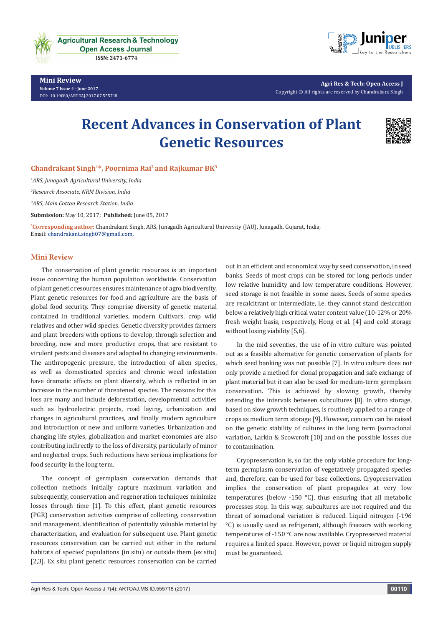

**Mini Review Volume 7 Issue 4 - June 2017** [DOI:](http://dx.doi.org/10.19080/artoaj.2016.02.555590
) [10.19080/ARTOAJ.2017.07.555718](http://dx.doi.org/10.19080/artoaj.2017.07.555718)



**Agri Res & Tech: Open Access J** Copyright © All rights are reserved by Chandrakant Singh

## **Recent Advances in Conservation of Plant Genetic Resources**



**Chandrakant Singh1\*, Poornima Rai2 and Rajkumar BK3**

*1 ARS, Junagadh Agricultural University, India*

*2 Research Associate, NRM Division, India*

*3 ARS, Main Cotton Research Station, India*

**Submission:** May 10, 2017; **Published:** June 05, 2017

**\* Corresponding author:** Chandrakant Singh, ARS, Junagadh Agricultural University (JAU), Junagadh, Gujarat, India, Email: chandrakant.singh07@gmail.com,

## **Mini Review**

The conservation of plant genetic resources is an important issue concerning the human population worldwide. Conservation of plant genetic resources ensures maintenance of agro biodiversity. Plant genetic resources for food and agriculture are the basis of global food security. They comprise diversity of genetic material contained in traditional varieties, modern Cultivars, crop wild relatives and other wild species. Genetic diversity provides farmers and plant breeders with options to develop, through selection and breeding, new and more productive crops, that are resistant to virulent pests and diseases and adapted to changing environments. The anthropogenic pressure, the introduction of alien species, as well as domesticated species and chronic weed infestation have dramatic effects on plant diversity, which is reflected in an increase in the number of threatened species. The reasons for this loss are many and include deforestation, developmental activities such as hydroelectric projects, road laying, urbanization and changes in agricultural practices, and finally modern agriculture and introduction of new and uniform varieties. Urbanization and changing life styles, globalization and market economies are also contributing indirectly to the loss of diversity, particularly of minor and neglected crops. Such reductions have serious implications for food security in the long term.

The concept of germplasm conservation demands that collection methods initially capture maximum variation and subsequently, conservation and regeneration techniques minimize losses through time [1]. To this effect, plant genetic resources (PGR) conservation activities comprise of collecting, conservation and management, identification of potentially valuable material by characterization, and evaluation for subsequent use. Plant genetic resources conservation can be carried out either in the natural habitats of species' populations (in situ) or outside them (ex situ) [2,3]. Ex situ plant genetic resources conservation can be carried

out in an efficient and economical way by seed conservation, in seed banks. Seeds of most crops can be stored for long periods under low relative humidity and low temperature conditions. However, seed storage is not feasible in some cases. Seeds of some species are recalcitrant or intermediate, i.e. they cannot stand desiccation below a relatively high critical water content value (10-12% or 20% fresh weight basis, respectively, Hong et al. [4] and cold storage without losing viability [5,6].

In the mid seventies, the use of in vitro culture was pointed out as a feasible alternative for genetic conservation of plants for which seed banking was not possible [7]. In vitro culture does not only provide a method for clonal propagation and safe exchange of plant material but it can also be used for medium-term germplasm conservation. This is achieved by slowing growth, thereby extending the intervals between subcultures [8]. In vitro storage, based on slow growth techniques, is routinely applied to a range of crops as medium term storage [9]. However, concern can be raised on the genetic stability of cultures in the long term (somaclonal variation, Larkin & Scowcroft [10] and on the possible losses due to contamination.

Cryopreservation is, so far, the only viable procedure for longterm germplasm conservation of vegetatively propagated species and, therefore, can be used for base collections. Cryopreservation implies the conservation of plant propagules at very low temperatures (below -150 °C), thus ensuring that all metabolic processes stop. In this way, subcultures are not required and the threat of somaclonal variation is reduced. Liquid nitrogen (-196 °C) is usually used as refrigerant, although freezers with working temperatures of -150 °C are now available. Cryopreserved material requires a limited space. However, power or liquid nitrogen supply must be guaranteed.